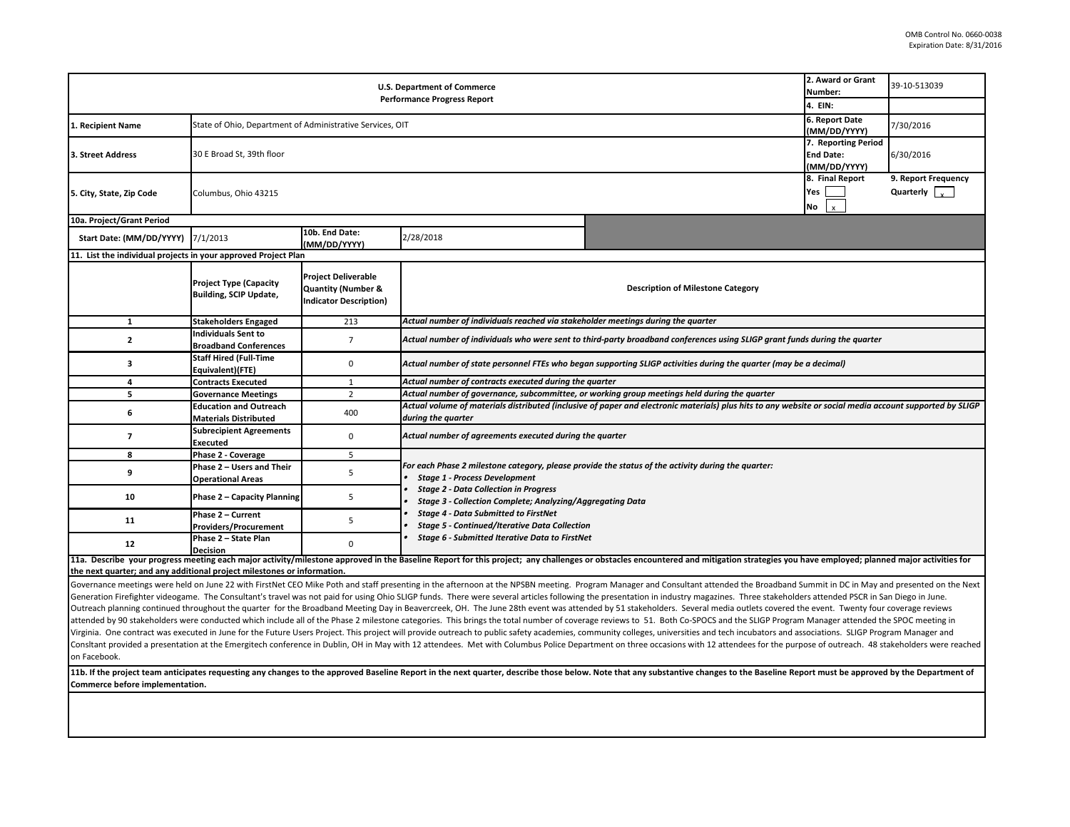| 2. Award or Grant<br><b>U.S. Department of Commerce</b><br>Number:<br><b>Performance Progress Report</b><br>4. EIN:                                                                                                            |                                                                                             |                                                                                              |                                                                                                                                                                                                                                                                |                                          |  | 39-10-513039                                |  |  |  |
|--------------------------------------------------------------------------------------------------------------------------------------------------------------------------------------------------------------------------------|---------------------------------------------------------------------------------------------|----------------------------------------------------------------------------------------------|----------------------------------------------------------------------------------------------------------------------------------------------------------------------------------------------------------------------------------------------------------------|------------------------------------------|--|---------------------------------------------|--|--|--|
|                                                                                                                                                                                                                                |                                                                                             |                                                                                              |                                                                                                                                                                                                                                                                |                                          |  |                                             |  |  |  |
| 1. Recipient Name                                                                                                                                                                                                              | 6. Report Date<br>State of Ohio, Department of Administrative Services, OIT<br>(MM/DD/YYYY) |                                                                                              |                                                                                                                                                                                                                                                                |                                          |  | 7/30/2016                                   |  |  |  |
| 3. Street Address                                                                                                                                                                                                              | 7. Reporting Period<br>30 E Broad St, 39th floor<br><b>End Date:</b><br>(MM/DD/YYYY)        |                                                                                              |                                                                                                                                                                                                                                                                |                                          |  | 6/30/2016                                   |  |  |  |
| 5. City, State, Zip Code                                                                                                                                                                                                       | 8. Final Report<br>Yes<br>Columbus, Ohio 43215<br>No                                        |                                                                                              |                                                                                                                                                                                                                                                                |                                          |  | 9. Report Frequency<br>Quarterly $\sqrt{2}$ |  |  |  |
| 10a. Project/Grant Period                                                                                                                                                                                                      |                                                                                             |                                                                                              |                                                                                                                                                                                                                                                                |                                          |  |                                             |  |  |  |
| Start Date: (MM/DD/YYYY) 7/1/2013                                                                                                                                                                                              |                                                                                             | 10b. End Date:<br>(MM/DD/YYYY)                                                               | 2/28/2018                                                                                                                                                                                                                                                      |                                          |  |                                             |  |  |  |
| 11. List the individual projects in your approved Project Plan                                                                                                                                                                 |                                                                                             |                                                                                              |                                                                                                                                                                                                                                                                |                                          |  |                                             |  |  |  |
|                                                                                                                                                                                                                                | <b>Project Type (Capacity</b><br><b>Building, SCIP Update,</b>                              | <b>Project Deliverable</b><br><b>Quantity (Number &amp;</b><br><b>Indicator Description)</b> |                                                                                                                                                                                                                                                                | <b>Description of Milestone Category</b> |  |                                             |  |  |  |
| $\mathbf{1}$                                                                                                                                                                                                                   | <b>Stakeholders Engaged</b>                                                                 | 213                                                                                          | Actual number of individuals reached via stakeholder meetings during the quarter                                                                                                                                                                               |                                          |  |                                             |  |  |  |
| $\mathbf{2}$                                                                                                                                                                                                                   | <b>Individuals Sent to</b><br><b>Broadband Conferences</b>                                  | $\overline{7}$                                                                               | Actual number of individuals who were sent to third-party broadband conferences using SLIGP grant funds during the quarter                                                                                                                                     |                                          |  |                                             |  |  |  |
| 3                                                                                                                                                                                                                              | <b>Staff Hired (Full-Time</b><br>Equivalent)(FTE)                                           | 0                                                                                            | Actual number of state personnel FTEs who began supporting SLIGP activities during the quarter (may be a decimal)                                                                                                                                              |                                          |  |                                             |  |  |  |
| 4                                                                                                                                                                                                                              | <b>Contracts Executed</b>                                                                   | $\mathbf{1}$                                                                                 | Actual number of contracts executed during the quarter                                                                                                                                                                                                         |                                          |  |                                             |  |  |  |
| 5                                                                                                                                                                                                                              | <b>Governance Meetings</b>                                                                  | $\overline{2}$                                                                               | Actual number of governance, subcommittee, or working group meetings held during the quarter                                                                                                                                                                   |                                          |  |                                             |  |  |  |
| 6                                                                                                                                                                                                                              | <b>Education and Outreach</b><br><b>Materials Distributed</b>                               | 400                                                                                          | Actual volume of materials distributed (inclusive of paper and electronic materials) plus hits to any website or social media account supported by SLIGP<br>during the quarter                                                                                 |                                          |  |                                             |  |  |  |
| $\overline{7}$                                                                                                                                                                                                                 | <b>Subrecipient Agreements</b><br><b>Executed</b>                                           | $\mathbf 0$                                                                                  | Actual number of agreements executed during the quarter                                                                                                                                                                                                        |                                          |  |                                             |  |  |  |
| 8                                                                                                                                                                                                                              | Phase 2 - Coverage                                                                          | 5                                                                                            |                                                                                                                                                                                                                                                                |                                          |  |                                             |  |  |  |
| 9                                                                                                                                                                                                                              | Phase 2 - Users and Their<br><b>Operational Areas</b>                                       | 5                                                                                            | For each Phase 2 milestone category, please provide the status of the activity during the quarter:<br><b>Stage 1 - Process Development</b><br><b>Stage 2 - Data Collection in Progress</b><br><b>Stage 3 - Collection Complete; Analyzing/Aggregating Data</b> |                                          |  |                                             |  |  |  |
| 10                                                                                                                                                                                                                             | Phase 2 - Capacity Planning                                                                 | 5                                                                                            |                                                                                                                                                                                                                                                                |                                          |  |                                             |  |  |  |
| 11                                                                                                                                                                                                                             | Phase 2 - Current<br><b>Providers/Procurement</b>                                           | 5                                                                                            | <b>Stage 4 - Data Submitted to FirstNet</b><br><b>Stage 5 - Continued/Iterative Data Collection</b>                                                                                                                                                            |                                          |  |                                             |  |  |  |
| 12                                                                                                                                                                                                                             | Phase 2 - State Plan<br><b>Decision</b>                                                     | $\Omega$                                                                                     | Stage 6 - Submitted Iterative Data to FirstNet                                                                                                                                                                                                                 |                                          |  |                                             |  |  |  |
| 11a. Describe your progress meeting each major activity/milestone approved in the Baseline Report for this project; any challenges or obstacles encountered and mitigation strategies you have employed; planned major activit |                                                                                             |                                                                                              |                                                                                                                                                                                                                                                                |                                          |  |                                             |  |  |  |
| the next quarter; and any additional project milestones or information.                                                                                                                                                        |                                                                                             |                                                                                              |                                                                                                                                                                                                                                                                |                                          |  |                                             |  |  |  |

Governance meetings were held on June 22 with FirstNet CEO Mike Poth and staff presenting in the afternoon at the NPSBN meeting. Program Manager and Consultant attended the Broadband Summit in DC in May and presented on th Generation Firefighter videogame. The Consultant's travel was not paid for using Ohio SLIGP funds. There were several articles following the presentation in industry magazines. Three stakeholders attended PSCR in San Diego Outreach planning continued throughout the quarter for the Broadband Meeting Day in Beavercreek, OH. The June 28th event was attended by 51 stakeholders. Several media outlets covered the event. Twenty four coverage reviews attended by 90 stakeholders were conducted which include all of the Phase 2 milestone categories. This brings the total number of coverage reviews to 51. Both Co-SPOCS and the SLIGP Program Manager attended the SPOC meetin Virginia. One contract was executed in June for the Future Users Project. This project will provide outreach to public safety academies, community colleges, universities and tech incubators and associations. SLIGP Program ConsItant provided a presentation at the Emergitech conference in Dublin, OH in May with 12 attendees. Met with Columbus Police Department on three occasions with 12 attendees for the purpose of outreach. 48 stakeholders w on Facebook.

11b. If the project team anticipates requesting any changes to the approved Baseline Report in the next quarter, describe those below. Note that any substantive changes to the Baseline Report must be approved by the Depart **Commerce before implementation.**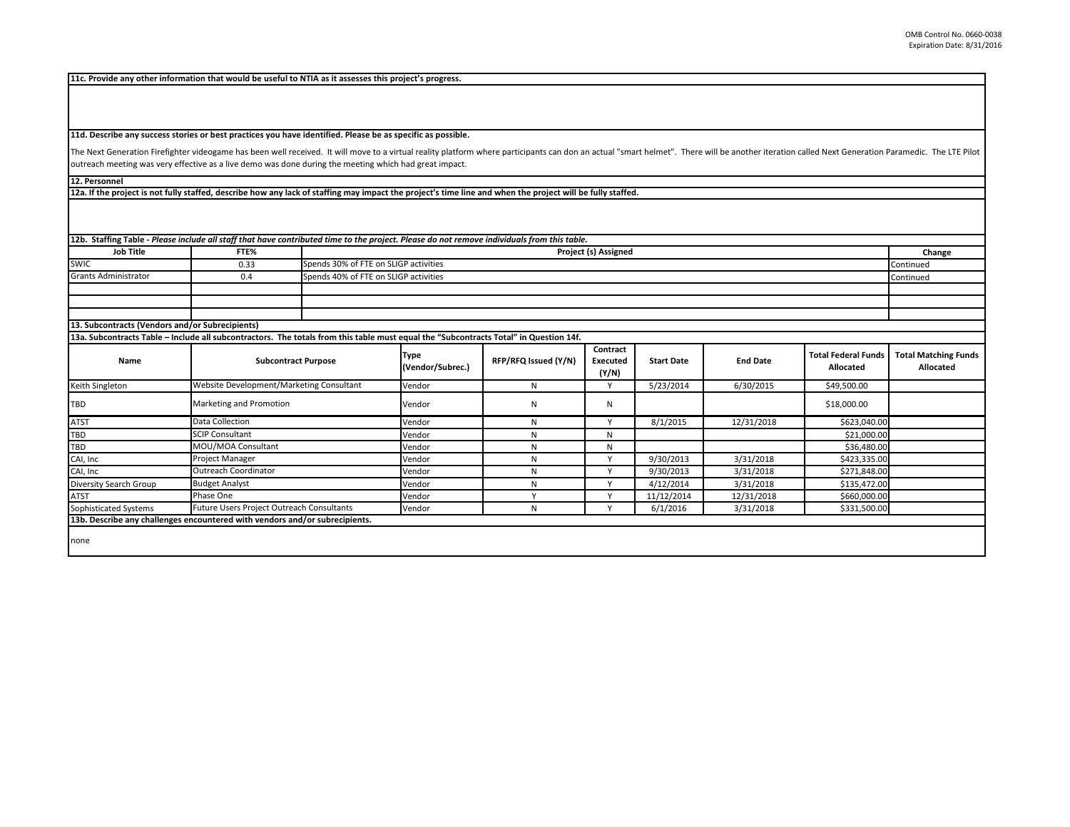**11c. Provide any other information that would be useful to NTIA as it assesses this project's progress.** 

**11d. Describe any success stories or best practices you have identified. Please be as specific as possible.**

The Next Generation Firefighter videogame has been well received. It will move to a virtual reality platform where participants can don an actual "smart helmet". There will be another iteration called Next Generation Param outreach meeting was very effective as a live demo was done during the meeting which had great impact.

**12. Personnel** 

**12a. If the project is not fully staffed, describe how any lack of staffing may impact the project's time line and when the project will be fully staffed.**

| 12b. Staffing Table - Please include all staff that have contributed time to the project. Please do not remove individuals from this table. |                                                                                                                                       |                                          |                                       |                      |                                      |                   |                 |                                         |                                          |
|---------------------------------------------------------------------------------------------------------------------------------------------|---------------------------------------------------------------------------------------------------------------------------------------|------------------------------------------|---------------------------------------|----------------------|--------------------------------------|-------------------|-----------------|-----------------------------------------|------------------------------------------|
|                                                                                                                                             |                                                                                                                                       |                                          |                                       |                      |                                      |                   |                 |                                         |                                          |
| <b>Job Title</b>                                                                                                                            | FTE%                                                                                                                                  | Project (s) Assigned                     |                                       |                      |                                      |                   |                 |                                         | Change                                   |
| <b>SWIC</b>                                                                                                                                 | 0.33                                                                                                                                  |                                          | Spends 30% of FTE on SLIGP activities |                      |                                      |                   |                 |                                         |                                          |
| <b>Grants Administrator</b>                                                                                                                 | 0.4                                                                                                                                   | Spends 40% of FTE on SLIGP activities    |                                       |                      |                                      |                   |                 |                                         | Continued                                |
|                                                                                                                                             |                                                                                                                                       |                                          |                                       |                      |                                      |                   |                 |                                         |                                          |
|                                                                                                                                             |                                                                                                                                       |                                          |                                       |                      |                                      |                   |                 |                                         |                                          |
|                                                                                                                                             |                                                                                                                                       |                                          |                                       |                      |                                      |                   |                 |                                         |                                          |
| 13. Subcontracts (Vendors and/or Subrecipients)                                                                                             |                                                                                                                                       |                                          |                                       |                      |                                      |                   |                 |                                         |                                          |
|                                                                                                                                             | 13a. Subcontracts Table - Include all subcontractors. The totals from this table must equal the "Subcontracts Total" in Question 14f. |                                          |                                       |                      |                                      |                   |                 |                                         |                                          |
| Name                                                                                                                                        | <b>Subcontract Purpose</b>                                                                                                            |                                          | Type<br>(Vendor/Subrec.)              | RFP/RFQ Issued (Y/N) | Contract<br><b>Executed</b><br>(Y/N) | <b>Start Date</b> | <b>End Date</b> | <b>Total Federal Funds</b><br>Allocated | <b>Total Matching Funds</b><br>Allocated |
| Keith Singleton                                                                                                                             |                                                                                                                                       | Website Development/Marketing Consultant |                                       | N                    | Y                                    | 5/23/2014         | 6/30/2015       | \$49,500.00                             |                                          |
| <b>TBD</b>                                                                                                                                  | Marketing and Promotion                                                                                                               |                                          | Vendor                                | N                    | N                                    |                   |                 | \$18,000.00                             |                                          |
| <b>ATST</b>                                                                                                                                 | Data Collection                                                                                                                       |                                          |                                       | N                    | $\vee$                               | 8/1/2015          | 12/31/2018      | \$623,040.00                            |                                          |
| <b>TBD</b>                                                                                                                                  | <b>SCIP Consultant</b>                                                                                                                |                                          | Vendor                                | N                    | N                                    |                   |                 | \$21,000.00                             |                                          |
| <b>TBD</b>                                                                                                                                  | MOU/MOA Consultant                                                                                                                    |                                          | Vendor                                | N                    | N                                    |                   |                 | \$36,480.00                             |                                          |
| CAI, Inc                                                                                                                                    | Project Manager                                                                                                                       |                                          | Vendor                                | N                    | Y                                    | 9/30/2013         | 3/31/2018       | \$423,335.00                            |                                          |
| CAI, Inc                                                                                                                                    | Outreach Coordinator                                                                                                                  |                                          | Vendor                                | N                    | $\vee$                               | 9/30/2013         | 3/31/2018       | \$271,848.00                            |                                          |
| Diversity Search Group                                                                                                                      | <b>Budget Analyst</b>                                                                                                                 |                                          | Vendor                                | N                    | $\checkmark$                         | 4/12/2014         | 3/31/2018       | \$135,472.00                            |                                          |
| <b>ATST</b>                                                                                                                                 | Phase One                                                                                                                             |                                          | Vendor                                | $\mathbf{v}$         | $\mathbf{v}$                         | 11/12/2014        | 12/31/2018      | \$660,000.00                            |                                          |
| Sophisticated Systems                                                                                                                       | Future Users Project Outreach Consultants                                                                                             |                                          | Vendor                                | N                    | $\mathbf{v}$                         | 6/1/2016          | 3/31/2018       | \$331,500.00                            |                                          |
|                                                                                                                                             | 13b. Describe any challenges encountered with vendors and/or subrecipients.                                                           |                                          |                                       |                      |                                      |                   |                 |                                         |                                          |
| none                                                                                                                                        |                                                                                                                                       |                                          |                                       |                      |                                      |                   |                 |                                         |                                          |